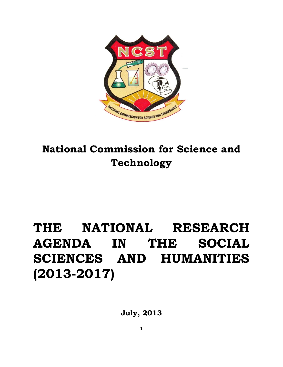

## **National Commission for Science and Technology**

# **THE NATIONAL RESEARCH AGENDA IN THE SOCIAL SCIENCES AND HUMANITIES (2013-2017)**

**July, 2013**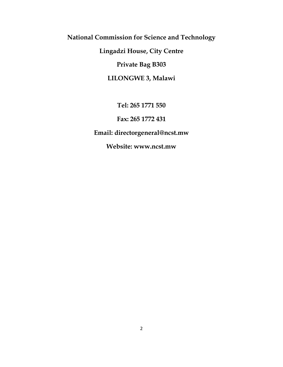**National Commission for Science and Technology**

**Lingadzi House, City Centre**

**Private Bag B303**

**LILONGWE 3, Malawi**

**Tel: 265 1771 550**

**Fax: 265 1772 431**

**Email: directorgeneral@ncst.mw**

**Website: www.ncst.mw**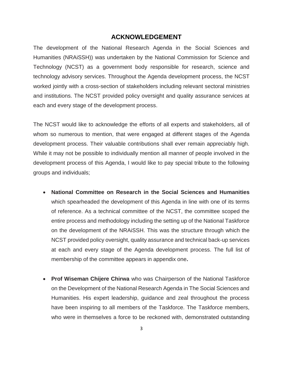#### **ACKNOWLEDGEMENT**

The development of the National Research Agenda in the Social Sciences and Humanities (NRAiSSH)) was undertaken by the National Commission for Science and Technology (NCST) as a government body responsible for research, science and technology advisory services. Throughout the Agenda development process, the NCST worked jointly with a cross-section of stakeholders including relevant sectoral ministries and institutions. The NCST provided policy oversight and quality assurance services at each and every stage of the development process.

The NCST would like to acknowledge the efforts of all experts and stakeholders, all of whom so numerous to mention, that were engaged at different stages of the Agenda development process. Their valuable contributions shall ever remain appreciably high. While it may not be possible to individually mention all manner of people involved in the development process of this Agenda, I would like to pay special tribute to the following groups and individuals;

- **National Committee on Research in the Social Sciences and Humanities**  which spearheaded the development of this Agenda in line with one of its terms of reference. As a technical committee of the NCST, the committee scoped the entire process and methodology including the setting up of the National Taskforce on the development of the NRAiSSH. This was the structure through which the NCST provided policy oversight, quality assurance and technical back-up services at each and every stage of the Agenda development process. The full list of membership of the committee appears in appendix one**.**
- **Prof Wiseman Chijere Chirwa** who was Chairperson of the National Taskforce on the Development of the National Research Agenda in The Social Sciences and Humanities. His expert leadership, guidance and zeal throughout the process have been inspiring to all members of the Taskforce. The Taskforce members, who were in themselves a force to be reckoned with, demonstrated outstanding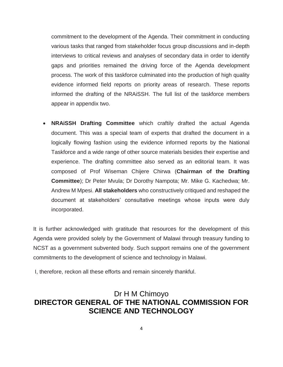commitment to the development of the Agenda. Their commitment in conducting various tasks that ranged from stakeholder focus group discussions and in-depth interviews to critical reviews and analyses of secondary data in order to identify gaps and priorities remained the driving force of the Agenda development process. The work of this taskforce culminated into the production of high quality evidence informed field reports on priority areas of research. These reports informed the drafting of the NRAiSSH. The full list of the taskforce members appear in appendix two.

 **NRAiSSH Drafting Committee** which craftily drafted the actual Agenda document. This was a special team of experts that drafted the document in a logically flowing fashion using the evidence informed reports by the National Taskforce and a wide range of other source materials besides their expertise and experience. The drafting committee also served as an editorial team. It was composed of Prof Wiseman Chijere Chirwa (**Chairman of the Drafting Committee**); Dr Peter Mvula; Dr Dorothy Nampota; Mr. Mike G. Kachedwa; Mr. Andrew M Mpesi. **All stakeholders** who constructively critiqued and reshaped the document at stakeholders' consultative meetings whose inputs were duly incorporated.

It is further acknowledged with gratitude that resources for the development of this Agenda were provided solely by the Government of Malawi through treasury funding to NCST as a government subvented body. Such support remains one of the government commitments to the development of science and technology in Malawi.

I, therefore, reckon all these efforts and remain sincerely thankful.

## Dr H M Chimoyo **DIRECTOR GENERAL OF THE NATIONAL COMMISSION FOR SCIENCE AND TECHNOLOGY**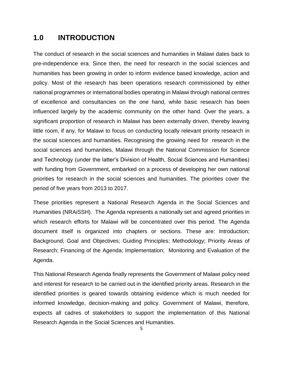## **1.0 INTRODUCTION**

The conduct of research in the social sciences and humanities in Malawi dates back to pre-independence era. Since then, the need for research in the social sciences and humanities has been growing in order to inform evidence based knowledge, action and policy. Most of the research has been operations research commissioned by either national programmes or international bodies operating in Malawi through national centres of excellence and consultancies on the one hand, while basic research has been influenced largely by the academic community on the other hand. Over the years, a significant proportion of research in Malawi has been externally driven, thereby leaving little room, if any, for Malawi to focus on conducting locally relevant priority research in the social sciences and humanities. Recognising the growing need for research in the social sciences and humanities, Malawi through the National Commission for Science and Technology (under the latter's Division of Health, Social Sciences and Humanities) with funding from Government, embarked on a process of developing her own national priorities for research in the social sciences and humanities. The priorities cover the period of five years from 2013 to 2017.

These priorities represent a National Research Agenda in the Social Sciences and Humanities (NRAiSSH). The Agenda represents a nationally set and agreed priorities in which research efforts for Malawi will be concentrated over this period. The Agenda document itself is organized into chapters or sections. These are: Introduction; Background; Goal and Objectives; Guiding Principles; Methodology; Priority Areas of Research; Financing of the Agenda; Implementation; Monitoring and Evaluation of the Agenda.

This National Research Agenda finally represents the Government of Malawi policy need and interest for research to be carried out in the identified priority areas. Research in the identified priorities is geared towards obtaining evidence which is much needed for informed knowledge, decision-making and policy. Government of Malawi, therefore, expects all cadres of stakeholders to support the implementation of this National Research Agenda in the Social Sciences and Humanities.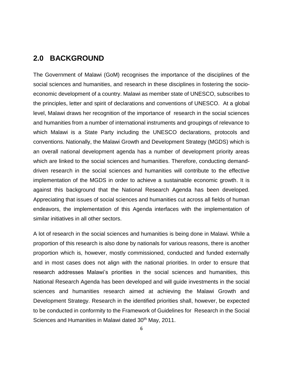#### **2.0 BACKGROUND**

The Government of Malawi (GoM) recognises the importance of the disciplines of the social sciences and humanities, and research in these disciplines in fostering the socioeconomic development of a country. Malawi as member state of UNESCO, subscribes to the principles, letter and spirit of declarations and conventions of UNESCO. At a global level, Malawi draws her recognition of the importance of research in the social sciences and humanities from a number of international instruments and groupings of relevance to which Malawi is a State Party including the UNESCO declarations, protocols and conventions. Nationally, the Malawi Growth and Development Strategy (MGDS) which is an overall national development agenda has a number of development priority areas which are linked to the social sciences and humanities. Therefore, conducting demanddriven research in the social sciences and humanities will contribute to the effective implementation of the MGDS in order to achieve a sustainable economic growth. It is against this background that the National Research Agenda has been developed. Appreciating that issues of social sciences and humanities cut across all fields of human endeavors, the implementation of this Agenda interfaces with the implementation of similar initiatives in all other sectors.

A lot of research in the social sciences and humanities is being done in Malawi. While a proportion of this research is also done by nationals for various reasons, there is another proportion which is, however, mostly commissioned, conducted and funded externally and in most cases does not align with the national priorities. In order to ensure that research addresses Malawi's priorities in the social sciences and humanities, this National Research Agenda has been developed and will guide investments in the social sciences and humanities research aimed at achieving the Malawi Growth and Development Strategy. Research in the identified priorities shall, however, be expected to be conducted in conformity to the Framework of Guidelines for Research in the Social Sciences and Humanities in Malawi dated 30<sup>th</sup> May, 2011.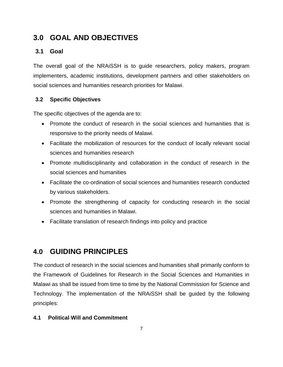## **3.0 GOAL AND OBJECTIVES**

#### **3.1 Goal**

The overall goal of the NRAiSSH is to guide researchers, policy makers, program implementers, academic institutions, development partners and other stakeholders on social sciences and humanities research priorities for Malawi.

#### **3.2 Specific Objectives**

The specific objectives of the agenda are to:

- Promote the conduct of research in the social sciences and humanities that is responsive to the priority needs of Malawi.
- Facilitate the mobilization of resources for the conduct of locally relevant social sciences and humanities research
- Promote multidisciplinarity and collaboration in the conduct of research in the social sciences and humanities
- Facilitate the co-ordination of social sciences and humanities research conducted by various stakeholders.
- Promote the strengthening of capacity for conducting research in the social sciences and humanities in Malawi.
- Facilitate translation of research findings into policy and practice

## **4.0 GUIDING PRINCIPLES**

The conduct of research in the social sciences and humanities shall primarily conform to the Framework of Guidelines for Research in the Social Sciences and Humanities in Malawi as shall be issued from time to time by the National Commission for Science and Technology. The implementation of the NRAiSSH shall be guided by the following principles:

#### **4.1 Political Will and Commitment**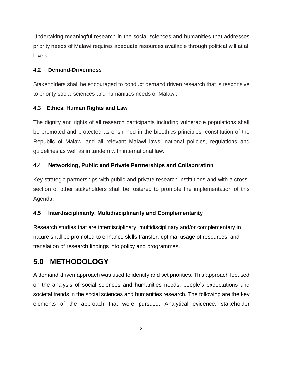Undertaking meaningful research in the social sciences and humanities that addresses priority needs of Malawi requires adequate resources available through political will at all levels.

#### **4.2 Demand-Drivenness**

Stakeholders shall be encouraged to conduct demand driven research that is responsive to priority social sciences and humanities needs of Malawi.

#### **4.3 Ethics, Human Rights and Law**

The dignity and rights of all research participants including vulnerable populations shall be promoted and protected as enshrined in the bioethics principles, constitution of the Republic of Malawi and all relevant Malawi laws, national policies, regulations and guidelines as well as in tandem with international law.

#### **4.4 Networking, Public and Private Partnerships and Collaboration**

Key strategic partnerships with public and private research institutions and with a crosssection of other stakeholders shall be fostered to promote the implementation of this Agenda.

#### **4.5 Interdisciplinarity, Multidisciplinarity and Complementarity**

Research studies that are interdisciplinary, multidisciplinary and/or complementary in nature shall be promoted to enhance skills transfer, optimal usage of resources, and translation of research findings into policy and programmes.

## **5.0 METHODOLOGY**

A demand-driven approach was used to identify and set priorities. This approach focused on the analysis of social sciences and humanities needs, people's expectations and societal trends in the social sciences and humanities research. The following are the key elements of the approach that were pursued; Analytical evidence; stakeholder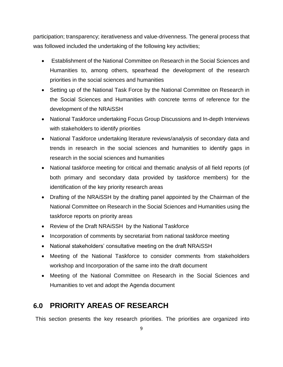participation; transparency; iterativeness and value-drivenness. The general process that was followed included the undertaking of the following key activities;

- Establishment of the National Committee on Research in the Social Sciences and Humanities to, among others, spearhead the development of the research priorities in the social sciences and humanities
- Setting up of the National Task Force by the National Committee on Research in the Social Sciences and Humanities with concrete terms of reference for the development of the NRAiSSH
- National Taskforce undertaking Focus Group Discussions and In-depth Interviews with stakeholders to identify priorities
- National Taskforce undertaking literature reviews/analysis of secondary data and trends in research in the social sciences and humanities to identify gaps in research in the social sciences and humanities
- National taskforce meeting for critical and thematic analysis of all field reports (of both primary and secondary data provided by taskforce members) for the identification of the key priority research areas
- Drafting of the NRAISSH by the drafting panel appointed by the Chairman of the National Committee on Research in the Social Sciences and Humanities using the taskforce reports on priority areas
- Review of the Draft NRAiSSH by the National Taskforce
- Incorporation of comments by secretariat from national taskforce meeting
- National stakeholders' consultative meeting on the draft NRAiSSH
- Meeting of the National Taskforce to consider comments from stakeholders workshop and Incorporation of the same into the draft document
- Meeting of the National Committee on Research in the Social Sciences and Humanities to vet and adopt the Agenda document

## **6.0 PRIORITY AREAS OF RESEARCH**

This section presents the key research priorities. The priorities are organized into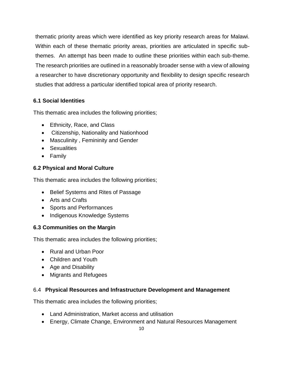thematic priority areas which were identified as key priority research areas for Malawi. Within each of these thematic priority areas, priorities are articulated in specific subthemes. An attempt has been made to outline these priorities within each sub-theme. The research priorities are outlined in a reasonably broader sense with a view of allowing a researcher to have discretionary opportunity and flexibility to design specific research studies that address a particular identified topical area of priority research.

#### **6.1 Social Identities**

This thematic area includes the following priorities;

- Ethnicity, Race, and Class
- Citizenship, Nationality and Nationhood
- Masculinity , Femininity and Gender
- **•** Sexualities
- Family

#### **6.2 Physical and Moral Culture**

This thematic area includes the following priorities;

- Belief Systems and Rites of Passage
- Arts and Crafts
- Sports and Performances
- Indigenous Knowledge Systems

#### **6.3 Communities on the Margin**

This thematic area includes the following priorities;

- Rural and Urban Poor
- Children and Youth
- Age and Disability
- Migrants and Refugees

#### 6.4 **Physical Resources and Infrastructure Development and Management**

This thematic area includes the following priorities;

- Land Administration, Market access and utilisation
- Energy, Climate Change, Environment and Natural Resources Management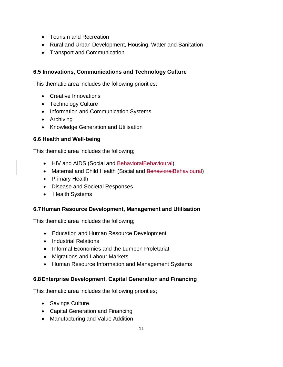- Tourism and Recreation
- Rural and Urban Development, Housing, Water and Sanitation
- Transport and Communication

#### **6.5 Innovations, Communications and Technology Culture**

This thematic area includes the following priorities;

- Creative Innovations
- Technology Culture
- Information and Communication Systems
- Archiving
- Knowledge Generation and Utilisation

#### **6.6 Health and Well-being**

This thematic area includes the following;

- HIV and AIDS (Social and BehavioralBehavioural)
- Maternal and Child Health (Social and BehavioralBehavioural)
- Primary Health
- Disease and Societal Responses
- Health Systems

#### **6.7Human Resource Development, Management and Utilisation**

This thematic area includes the following;

- Education and Human Resource Development
- Industrial Relations
- Informal Economies and the Lumpen Proletariat
- Migrations and Labour Markets
- Human Resource Information and Management Systems

#### **6.8Enterprise Development, Capital Generation and Financing**

This thematic area includes the following priorities;

- Savings Culture
- Capital Generation and Financing
- Manufacturing and Value Addition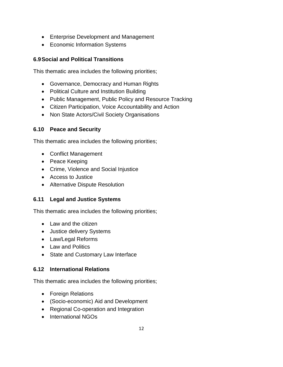- Enterprise Development and Management
- Economic Information Systems

#### **6.9Social and Political Transitions**

This thematic area includes the following priorities;

- Governance, Democracy and Human Rights
- Political Culture and Institution Building
- Public Management, Public Policy and Resource Tracking
- Citizen Participation, Voice Accountability and Action
- Non State Actors/Civil Society Organisations

#### **6.10 Peace and Security**

This thematic area includes the following priorities;

- Conflict Management
- Peace Keeping
- Crime, Violence and Social Injustice
- Access to Justice
- Alternative Dispute Resolution

#### **6.11 Legal and Justice Systems**

This thematic area includes the following priorities;

- Law and the citizen
- Justice delivery Systems
- Law/Legal Reforms
- Law and Politics
- State and Customary Law Interface

#### **6.12 International Relations**

This thematic area includes the following priorities;

- Foreign Relations
- (Socio-economic) Aid and Development
- Regional Co-operation and Integration
- International NGOs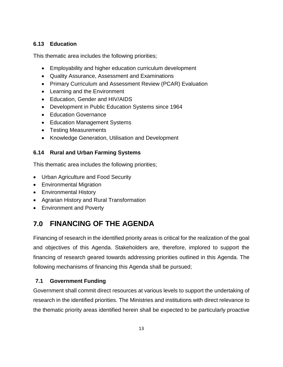#### **6.13 Education**

This thematic area includes the following priorities;

- Employability and higher education curriculum development
- Quality Assurance, Assessment and Examinations
- Primary Curriculum and Assessment Review (PCAR) Evaluation
- Learning and the Environment
- Education, Gender and HIV/AIDS
- Development in Public Education Systems since 1964
- Education Governance
- Education Management Systems
- Testing Measurements
- Knowledge Generation, Utilisation and Development

#### **6.14 Rural and Urban Farming Systems**

This thematic area includes the following priorities;

- Urban Agriculture and Food Security
- Environmental Migration
- Environmental History
- Agrarian History and Rural Transformation
- Environment and Poverty

## **7.0 FINANCING OF THE AGENDA**

Financing of research in the identified priority areas is critical for the realization of the goal and objectives of this Agenda. Stakeholders are, therefore, implored to support the financing of research geared towards addressing priorities outlined in this Agenda. The following mechanisms of financing this Agenda shall be pursued;

#### **7.1 Government Funding**

Government shall commit direct resources at various levels to support the undertaking of research in the identified priorities. The Ministries and institutions with direct relevance to the thematic priority areas identified herein shall be expected to be particularly proactive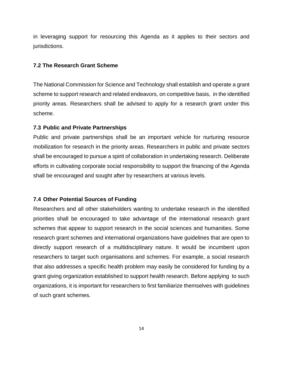in leveraging support for resourcing this Agenda as it applies to their sectors and jurisdictions.

#### **7.2 The Research Grant Scheme**

The National Commission for Science and Technology shall establish and operate a grant scheme to support research and related endeavors, on competitive basis, in the identified priority areas. Researchers shall be advised to apply for a research grant under this scheme.

#### **7.3 Public and Private Partnerships**

Public and private partnerships shall be an important vehicle for nurturing resource mobilization for research in the priority areas. Researchers in public and private sectors shall be encouraged to pursue a spirit of collaboration in undertaking research. Deliberate efforts in cultivating corporate social responsibility to support the financing of the Agenda shall be encouraged and sought after by researchers at various levels.

#### **7.4 Other Potential Sources of Funding**

Researchers and all other stakeholders wanting to undertake research in the identified priorities shall be encouraged to take advantage of the international research grant schemes that appear to support research in the social sciences and humanities. Some research grant schemes and international organizations have guidelines that are open to directly support research of a multidisciplinary nature. It would be incumbent upon researchers to target such organisations and schemes. For example, a social research that also addresses a specific health problem may easily be considered for funding by a grant giving organization established to support health research. Before applying to such organizations, it is important for researchers to first familiarize themselves with guidelines of such grant schemes.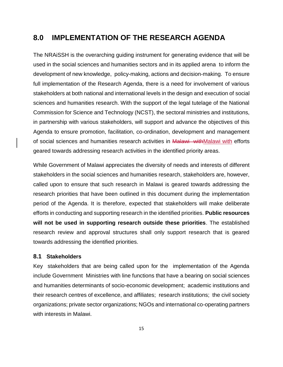## **8.0 IMPLEMENTATION OF THE RESEARCH AGENDA**

The NRAiSSH is the overarching guiding instrument for generating evidence that will be used in the social sciences and humanities sectors and in its applied arena to inform the development of new knowledge, policy-making, actions and decision-making. To ensure full implementation of the Research Agenda, there is a need for involvement of various stakeholders at both national and international levels in the design and execution of social sciences and humanities research. With the support of the legal tutelage of the National Commission for Science and Technology (NCST), the sectoral ministries and institutions, in partnership with various stakeholders, will support and advance the objectives of this Agenda to ensure promotion, facilitation, co-ordination, development and management of social sciences and humanities research activities in Malawi withMalawi with efforts geared towards addressing research activities in the identified priority areas.

While Government of Malawi appreciates the diversity of needs and interests of different stakeholders in the social sciences and humanities research, stakeholders are, however, called upon to ensure that such research in Malawi is geared towards addressing the research priorities that have been outlined in this document during the implementation period of the Agenda. It is therefore, expected that stakeholders will make deliberate efforts in conducting and supporting research in the identified priorities. **Public resources will not be used in supporting research outside these priorities**. The established research review and approval structures shall only support research that is geared towards addressing the identified priorities.

#### **8.1 Stakeholders**

Key stakeholders that are being called upon for the implementation of the Agenda include Government Ministries with line functions that have a bearing on social sciences and humanities determinants of socio-economic development; academic institutions and their research centres of excellence, and affiliates; research institutions; the civil society organizations; private sector organizations; NGOs and international co-operating partners with interests in Malawi.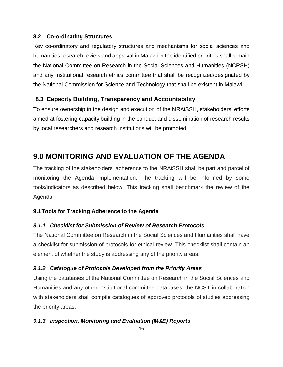#### **8.2 Co-ordinating Structures**

Key co-ordinatory and regulatory structures and mechanisms for social sciences and humanities research review and approval in Malawi in the identified priorities shall remain the National Committee on Research in the Social Sciences and Humanities (NCRSH) and any institutional research ethics committee that shall be recognized/designated by the National Commission for Science and Technology that shall be existent in Malawi.

#### **8.3 Capacity Building, Transparency and Accountability**

To ensure ownership in the design and execution of the NRAiSSH, stakeholders' efforts aimed at fostering capacity building in the conduct and dissemination of research results by local researchers and research institutions will be promoted.

## **9.0 MONITORING AND EVALUATION OF THE AGENDA**

The tracking of the stakeholders' adherence to the NRAiSSH shall be part and parcel of monitoring the Agenda implementation. The tracking will be informed by some tools/indicators as described below. This tracking shall benchmark the review of the Agenda.

#### **9.1Tools for Tracking Adherence to the Agenda**

#### *9.1.1 Checklist for Submission of Review of Research Protocols*

The National Committee on Research in the Social Sciences and Humanities shall have a checklist for submission of protocols for ethical review. This checklist shall contain an element of whether the study is addressing any of the priority areas.

#### *9.1.2 Catalogue of Protocols Developed from the Priority Areas*

Using the databases of the National Committee on Research in the Social Sciences and Humanities and any other institutional committee databases, the NCST in collaboration with stakeholders shall compile catalogues of approved protocols of studies addressing the priority areas.

#### *9.1.3 Inspection, Monitoring and Evaluation (M&E) Reports*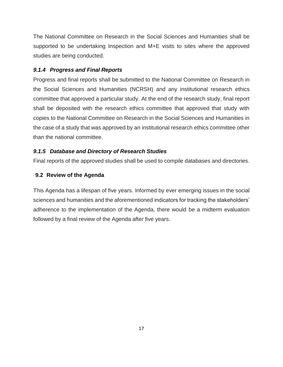The National Committee on Research in the Social Sciences and Humanities shall be supported to be undertaking Inspection and M+E visits to sites where the approved studies are being conducted.

#### *9.1.4 Progress and Final Reports*

Progress and final reports shall be submitted to the National Committee on Research in the Social Sciences and Humanities (NCRSH) and any institutional research ethics committee that approved a particular study. At the end of the research study, final report shall be deposited with the research ethics committee that approved that study with copies to the National Committee on Research in the Social Sciences and Humanities in the case of a study that was approved by an institutional research ethics committee other than the national committee.

#### *9.1.5 Database and Directory of Research Studies*

Final reports of the approved studies shall be used to compile databases and directories.

#### **9.2 Review of the Agenda**

This Agenda has a lifespan of five years. Informed by ever emerging issues in the social sciences and humanities and the aforementioned indicators for tracking the stakeholders' adherence to the implementation of the Agenda, there would be a midterm evaluation followed by a final review of the Agenda after five years.